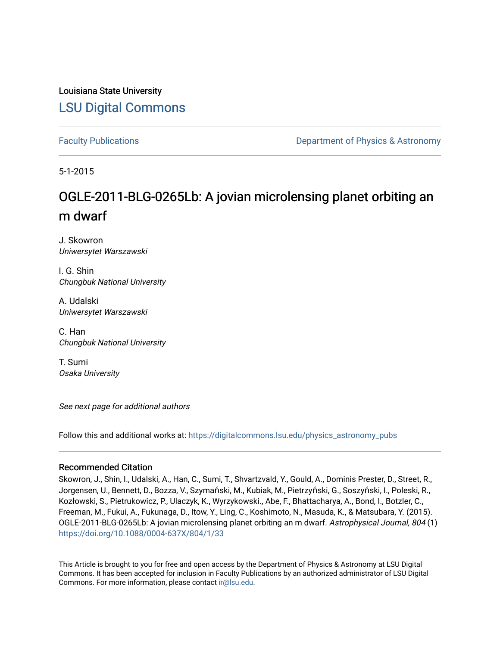Louisiana State University [LSU Digital Commons](https://digitalcommons.lsu.edu/)

[Faculty Publications](https://digitalcommons.lsu.edu/physics_astronomy_pubs) **Example 2** Constant Department of Physics & Astronomy

5-1-2015

# OGLE-2011-BLG-0265Lb: A jovian microlensing planet orbiting an m dwarf

J. Skowron Uniwersytet Warszawski

I. G. Shin Chungbuk National University

A. Udalski Uniwersytet Warszawski

C. Han Chungbuk National University

T. Sumi Osaka University

See next page for additional authors

Follow this and additional works at: [https://digitalcommons.lsu.edu/physics\\_astronomy\\_pubs](https://digitalcommons.lsu.edu/physics_astronomy_pubs?utm_source=digitalcommons.lsu.edu%2Fphysics_astronomy_pubs%2F4193&utm_medium=PDF&utm_campaign=PDFCoverPages) 

# Recommended Citation

Skowron, J., Shin, I., Udalski, A., Han, C., Sumi, T., Shvartzvald, Y., Gould, A., Dominis Prester, D., Street, R., Jorgensen, U., Bennett, D., Bozza, V., Szymański, M., Kubiak, M., Pietrzyński, G., Soszyński, I., Poleski, R., Kozłowski, S., Pietrukowicz, P., Ulaczyk, K., Wyrzykowski., Abe, F., Bhattacharya, A., Bond, I., Botzler, C., Freeman, M., Fukui, A., Fukunaga, D., Itow, Y., Ling, C., Koshimoto, N., Masuda, K., & Matsubara, Y. (2015). OGLE-2011-BLG-0265Lb: A jovian microlensing planet orbiting an m dwarf. Astrophysical Journal, 804 (1) <https://doi.org/10.1088/0004-637X/804/1/33>

This Article is brought to you for free and open access by the Department of Physics & Astronomy at LSU Digital Commons. It has been accepted for inclusion in Faculty Publications by an authorized administrator of LSU Digital Commons. For more information, please contact [ir@lsu.edu](mailto:ir@lsu.edu).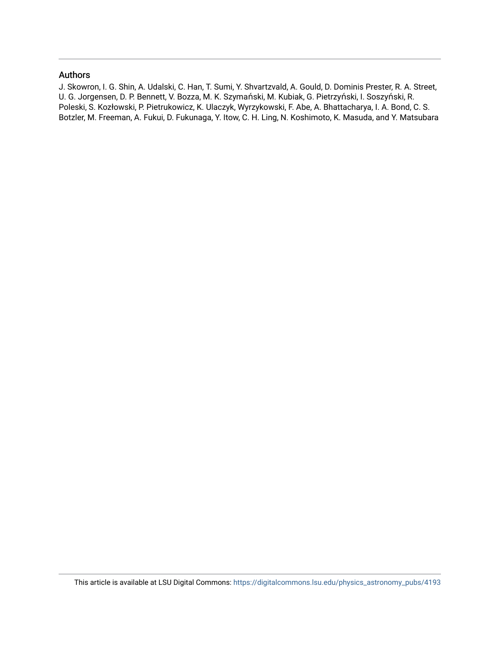# Authors

J. Skowron, I. G. Shin, A. Udalski, C. Han, T. Sumi, Y. Shvartzvald, A. Gould, D. Dominis Prester, R. A. Street, U. G. Jorgensen, D. P. Bennett, V. Bozza, M. K. Szymański, M. Kubiak, G. Pietrzyński, I. Soszyński, R. Poleski, S. Kozłowski, P. Pietrukowicz, K. Ulaczyk, Wyrzykowski, F. Abe, A. Bhattacharya, I. A. Bond, C. S. Botzler, M. Freeman, A. Fukui, D. Fukunaga, Y. Itow, C. H. Ling, N. Koshimoto, K. Masuda, and Y. Matsubara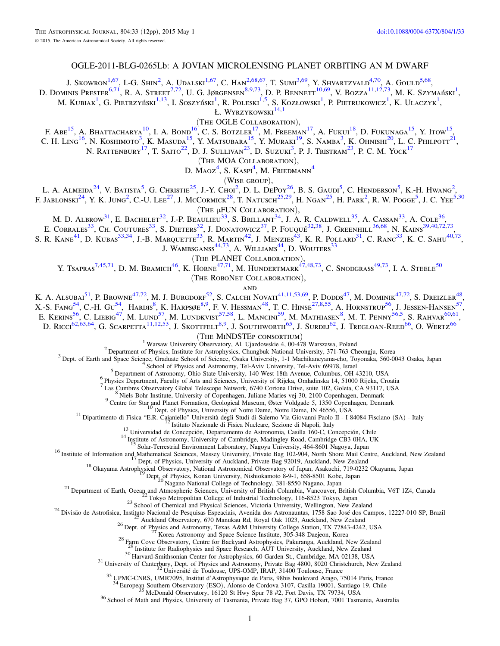# OGLE-2011-BLG-0265Lb: A JOVIAN MICROLENSING PLANET ORBITING AN M DWARF

J. Skowron<sup>1[,67](#page-3-0)</sup>, I.-G. Shin<sup>2</sup>, A. Udalski<sup>[1,67](#page-3-0)</sup>, C. Han<sup>2[,68,67](#page-3-0)</sup>, T. Sumi<sup>[3,69](#page-3-0)</sup>, Y. Shvartzvald<sup>[4,70](#page-3-0)</sup>, A. Gould<sup>[5,68](#page-3-0)</sup>,

D. Dominis Prester<sup>[6,71](#page-3-0)</sup>, R. A. Street<sup>[7,72](#page-3-0)</sup>, U. G. Jørgensen<sup>8,9[,73](#page-3-0)</sup>, D. P. Bennett<sup>10[,69](#page-3-0)</sup>, V. Bozza<sup>11,12,73</sup>, M. K. Szymański<sup>1</sup>,

M. Kubiak<sup>1</sup>, G. Pietrzyński<sup>1,13</sup>, I. Soszyński<sup>1</sup>, R. Poleski<sup>1,5</sup>, S. Kozłowski<sup>1</sup>, P. Pietrukowicz<sup>1</sup>, K. Ulaczyk<sup>1</sup>,

Ł. WYRZYKOWSKI<sup>14,1</sup>

(The OGLE Collaboration),

F. Abe<sup>15</sup>, A. Bhattacharya<sup>10</sup>, I. A. Bond<sup>16</sup>, C. S. Botzler<sup>17</sup>, M. Freeman<sup>17</sup>, A. Fukui<sup>18</sup>, D. Fukunaga<sup>15</sup>, Y. Itow<sup>15</sup>, C. H. Ling<sup>16</sup>, N. Koshimoto<sup>3</sup>, K. Masuda<sup>15</sup>, Y. Matsubara<sup>15</sup>, Y. Muraki<sup>19</sup>, S. Namba<sup>3</sup>, K. Ohnishi<sup>20</sup>, L. C. Philpott<sup>21</sup>, N. RATTENBURY<sup>17</sup>, T. Saito<sup>22</sup>, D. J. Sullivan<sup>23</sup>, D. Suzuki<sup>3</sup>, P. J. Tristram<sup>23</sup>, P. C. M. Yock<sup>17</sup>

(The MOA Collaboration),

D. Maoz<sup>4</sup>, S. Kaspi<sup>4</sup>, M. Friedmann<sup>4</sup>

(Wise group),

L. A. Almeida<sup>24</sup>, V. Batista<sup>5</sup>, G. Christie<sup>25</sup>, J.-Y. Choi<sup>2</sup>, D. L. DePoy<sup>26</sup>, B. S. Gaudi<sup>5</sup>, C. Henderson<sup>5</sup>, K.-H. Hwang<sup>2</sup>, F. Jablonski<sup>24</sup>, Y. K. Jung<sup>2</sup>, C.-U. Lee<sup>27</sup>, J. McCormick<sup>28</sup>, T. Natusch<sup>25,29</sup>, H. Ngan<sup>25</sup>, H. Park<sup>2</sup>, R. W. Pogge<sup>5</sup>, J. C. Yee<sup>5,30</sup>

(The μFUN Collaboration),

M. D. ALBROW<sup>31</sup>, E. BACHELET<sup>32</sup>, J.-P. Beaulieu<sup>33</sup>, S. Brillant<sup>34</sup>, J. A. R. Caldwell<sup>35</sup>, A. Cassan<sup>33</sup>, A. Cole<sup>36</sup>,

E. CORRALES<sup>33</sup>, CH. COUTURES<sup>33</sup>, S. DIETERS<sup>32</sup>, J. DONATOWICZ<sup>37</sup>, P. FOUQUÉ<sup>32,38</sup>, J. GREENHILL<sup>3[6,68](#page-3-0)</sup>, N. KAINS<sup>39,40[,72,73](#page-3-0)</sup>,

S. R. KANE<sup>41</sup>, D. KUBAs<sup>33,34</sup>, J.-B. Marquette<sup>33</sup>, R. Martin<sup>42</sup>, J. Menzies<sup>43</sup>, K. R. Pollard<sup>31</sup>, C. Ranc<sup>33</sup>, K. C. Sahu<sup>4[0,73](#page-3-0)</sup>,

J. WAMBSGANSS $44,73$  $44,73$ , A. WILLIAMS $44$ , D. WOUTERS $33$ 

(The PLANET Collaboration),

Y. Tsapras<sup>7,45[,71](#page-3-0)</sup>, D. M. Bramich<sup>46</sup>, K. Horne<sup>47,71</sup>, M. Hundertmark<sup>47,48[,73](#page-3-0)</sup>, C. Snodgrass<sup>49,73</sup>, I. A. Steele<sup>50</sup>

(The RoboNet Collaboration),

**AND** 

K. A. Alsubai<sup>51</sup>, P. Browne<sup>47[,72](#page-3-0)</sup>, M. J. Burgdorf<sup>52</sup>, S. Calchi Novati<sup>41,11,53[,69](#page-3-0)</sup>, P. Dodds<sup>47</sup>, M. Dominik<sup>4[7,72](#page-3-0)</sup>, S. Dreizler<sup>48</sup>, X.-S. Fang<sup>54</sup>, C.-H. Gu<sup>54</sup>, Hardis<sup>8</sup>, K. Harpsøe<sup>8,9</sup>, F. V. Hessman<sup>48</sup>, T. C. Hinse<sup>27,8,55</sup>, A. Hornstrup<sup>56</sup>, J. Jessen-Hansen<sup>57</sup>, E. Kerins<sup>56</sup>, C. Liebig<sup>47</sup>, M. Lund<sup>57</sup>, M. Lundkvist<sup>57,58</sup>, L. Mancini<sup>59</sup>, M. Mathiasen<sup>8</sup>, M. T. Penny<sup>56,5</sup>, S. Rahvar<sup>60,61</sup>,

D. Ricci<sup>62,63,64</sup>, G. Scarpetta<sup>11,12,53</sup>, J. Skottfelt<sup>8,9</sup>, J. Southworth<sup>65</sup>, J. Surdej<sup>62</sup>, J. Tregloan-Reed<sup>[66](#page-3-0)</sup>, O. Wertz<sup>66</sup>

<sup>1</sup> Warsaw University Observatory, Al. Ujazdowskie 4, 00-478 Warszawa, Poland<br><sup>2</sup> Department of Physics, Institute for Astrophysics, Chungbuk National University, 371-763 Cheongju, Korea<br><sup>3</sup> Dept. of Earth and Space Scienc

<sup>9</sup> Centre for Star and Planet Formation, Geological Museum, Øster Volgade 5, 1350 Copenhagen, Denmark<br><sup>10</sup> Dept. of Physics, University of Notre Dame, Notre Dame, IN 46556, USA<br><sup>11</sup> Dipartimento di Fisica "E.R. Caianiello

<sup>16</sup> Institute of Information and Mathematical Sciences, Massey University, Private Bag 102-904, North Shore Mail Centre, Auckland, New Zealand<br><sup>17</sup> Dept. of Physics, University of Auckland, Private Bag 92019, Auckland, N

<sup>30</sup> Harvard-Smithsonian Center for Astrophysics, 60 Garden St., Cambridge, MA 02138, USA<br><sup>31</sup> University of Canterbury, Dept. of Physics and Astronomy, Private Bag 4800, 8020 Christchurch, New Zealand<br><sup>32</sup> Université de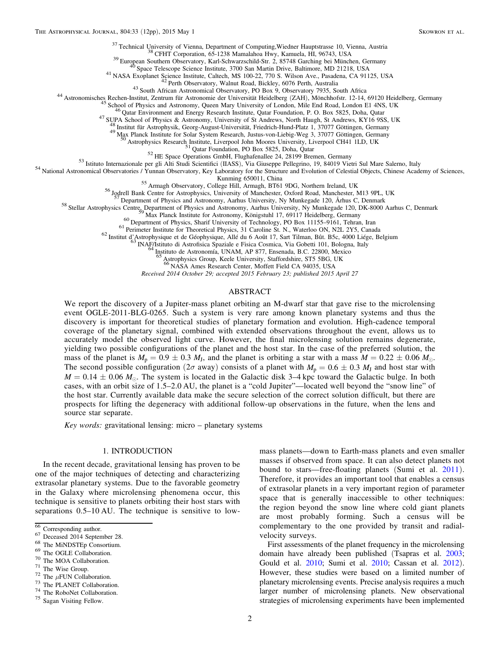<span id="page-3-0"></span><sup>37</sup> Technical University of Vienna, Department of Computing, Wiedner Hauptstrasse 10, Vienna, Austria<br><sup>38</sup> CFHT Corporation, 65-1238 Mamalahoa Hwy, Kamuela, HI, 96743, USA<br><sup>39</sup> European Southern Observatory, Karl-Schwarz

48 Institut für Astrophysik, Georg-August-Universität, Friedrich-Hund-Platz 1, 37077 Göttingen, Germany Max Planck Institute for Solar System Research, Justus-von-Liebig-Weg 3, 37077 Göttingen, Germany 50 Astrophysics Rese

<sup>51</sup> Qatar Foundation, PO Box 5825, Doha, Qatar<br><sup>52</sup> HE Space Operations GmbH, Flughafenallee 24, 28199 Bremen, Germany<br><sup>53</sup> Istituto Internazionale per gli Alti Studi Scientifici (IIASS), Via Giuseppe Pellegrino, 19, 8401

<sup>55</sup> Armagh Observatory, College Hill, Armagh, BT61 9DG, Northern Ireland, UK<br><sup>56</sup> Jodrell Bank Centre for Astrophysics, University of Manchester, Oxford Road, Manchester, M13 9PL, UK<br><sup>57</sup> Department of Physics and Astron

<sup>58</sup> Stellar Astrophysics Centre, Department of Physics and Astronomy, Aarhus University, Ny Munkegade 120, DK-8000 Aarhus C, Denmark<br><sup>59</sup> Max Planck Institute for Astronomy, Königstuhl 17, 69117 Heidelberg, Germany<br><sup>60</sup> D

<sup>62</sup> Institut d'Astrophysique et de Géophysique, Allé du 6 Août 17, Sart Tilman, Bût. B5c, 4000 Liége, Belgium <sup>64</sup> Instituto di Astrofisica Spaziale e Fisica Cosmica, Via Gobetti 101, Bologna, Italy <sup>64</sup> Instituto de Ast

Astrophysics Group, Keele University, Staffordshire, ST5 5BG, UK

NASA Ames Research Center, Moffett Field CA 94035, USA

Received 2014 October 29; accepted 2015 February 23; published 2015 April 27

## ABSTRACT

We report the discovery of a Jupiter-mass planet orbiting an M-dwarf star that gave rise to the microlensing event OGLE-2011-BLG-0265. Such a system is very rare among known planetary systems and thus the discovery is important for theoretical studies of planetary formation and evolution. High-cadence temporal coverage of the planetary signal, combined with extended observations throughout the event, allows us to accurately model the observed light curve. However, the final microlensing solution remains degenerate, yielding two possible configurations of the planet and the host star. In the case of the preferred solution, the mass of the planet is  $M_p = 0.9 \pm 0.3$   $M_J$ , and the planet is orbiting a star with a mass  $M = 0.22 \pm 0.06$   $M_{\odot}$ . The second possible configuration ( $2\sigma$  away) consists of a planet with  $M_p = 0.6 \pm 0.3$   $M_l$  and host star with  $M = 0.14 \pm 0.06$   $M_{\odot}$ . The system is located in the Galactic disk 3–4 kpc toward the Galactic bulge. In both cases, with an orbit size of 1.5–2.0 AU, the planet is a "cold Jupiter"—located well beyond the "snow line" of the host star. Currently available data make the secure selection of the correct solution difficult, but there are prospects for lifting the degeneracy with additional follow-up observations in the future, when the lens and source star separate.

Key words: gravitational lensing: micro – planetary systems

#### 1. INTRODUCTION

In the recent decade, gravitational lensing has proven to be one of the major techniques of detecting and characterizing extrasolar planetary systems. Due to the favorable geometry in the Galaxy where microlensing phenomena occur, this technique is sensitive to planets orbiting their host stars with separations 0.5–10 AU. The technique is sensitive to low-

- 
- $\frac{66}{66}$  Corresponding author.<br>  $\frac{67}{66}$  Deceased 2014 September 28.<br>  $\frac{68}{68}$  The MiNDSTEp Consortium.<br>  $\frac{69}{76}$  The OGLE Collaboration.<br>  $\frac{70}{76}$  The MOA Collaboration.<br>  $\frac{71}{74}$  The Wise Group.<br>  $\frac{7$
- 
- 

mass planets—down to Earth-mass planets and even smaller masses if observed from space. It can also detect planets not bound to stars—free-floating planets (Sumi et al. [2011](#page-13-0)). Therefore, it provides an important tool that enables a census of extrasolar planets in a very important region of parameter space that is generally inaccessible to other techniques: the region beyond the snow line where cold giant planets are most probably forming. Such a census will be complementary to the one provided by transit and radialvelocity surveys.

First assessments of the planet frequency in the microlensing domain have already been published (Tsapras et al. [2003](#page-13-0); Gould et al. [2010;](#page-13-0) Sumi et al. [2010;](#page-13-0) Cassan et al. [2012](#page-12-0)). However, these studies were based on a limited number of planetary microlensing events. Precise analysis requires a much larger number of microlensing planets. New observational strategies of microlensing experiments have been implemented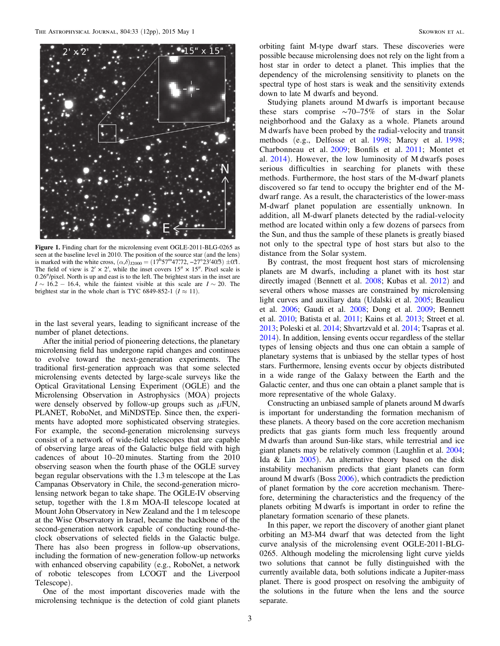<span id="page-4-0"></span>

Figure 1. Finding chart for the microlensing event OGLE-2011-BLG-0265 as seen at the baseline level in 2010. The position of the source star (and the lens) is marked with the white cross,  $(\alpha,\delta)_{12000} = (17^{\text{h}}57^{\text{m}}47\degree72, -27^{\circ}23'40\degree3) \pm 0\degree1.$ The field of view is  $2' \times 2'$ , while the inset covers  $15'' \times 15''$ . Pixel scale is 0.26″/pixel. North is up and east is to the left. The brightest stars in the inset are  $I \sim 16.2 - 16.4$ , while the faintest visible at this scale are  $I \sim 20$ . The brightest star in the whole chart is TYC 6849-852-1 ( $I \approx 11$ ).

in the last several years, leading to significant increase of the number of planet detections.

After the initial period of pioneering detections, the planetary microlensing field has undergone rapid changes and continues to evolve toward the next-generation experiments. The traditional first-generation approach was that some selected microlensing events detected by large-scale surveys like the Optical Gravitational Lensing Experiment (OGLE) and the Microlensing Observation in Astrophysics (MOA) projects were densely observed by follow-up groups such as  $\mu$ FUN, PLANET, RoboNet, and MiNDSTEp. Since then, the experiments have adopted more sophisticated observing strategies. For example, the second-generation microlensing surveys consist of a network of wide-field telescopes that are capable of observing large areas of the Galactic bulge field with high cadences of about 10–20 minutes. Starting from the 2010 observing season when the fourth phase of the OGLE survey began regular observations with the 1.3 m telescope at the Las Campanas Observatory in Chile, the second-generation microlensing network began to take shape. The OGLE-IV observing setup, together with the 1.8 m MOA-II telescope located at Mount John Observatory in New Zealand and the 1 m telescope at the Wise Observatory in Israel, became the backbone of the second-generation network capable of conducting round-theclock observations of selected fields in the Galactic bulge. There has also been progress in follow-up observations, including the formation of new-generation follow-up networks with enhanced observing capability (e.g., RoboNet, a network of robotic telescopes from LCOGT and the Liverpool Telescope).

One of the most important discoveries made with the microlensing technique is the detection of cold giant planets

orbiting faint M-type dwarf stars. These discoveries were possible because microlensing does not rely on the light from a host star in order to detect a planet. This implies that the dependency of the microlensing sensitivity to planets on the spectral type of host stars is weak and the sensitivity extends down to late M dwarfs and beyond.

Studying planets around M dwarfs is important because these stars comprise ∼70–75% of stars in the Solar neighborhood and the Galaxy as a whole. Planets around M dwarfs have been probed by the radial-velocity and transit methods (e.g., Delfosse et al. [1998;](#page-13-0) Marcy et al. [1998](#page-13-0); Charbonneau et al. [2009;](#page-13-0) Bonfils et al. [2011](#page-12-0); Montet et al. [2014](#page-13-0)). However, the low luminosity of M dwarfs poses serious difficulties in searching for planets with these methods. Furthermore, the host stars of the M-dwarf planets discovered so far tend to occupy the brighter end of the Mdwarf range. As a result, the characteristics of the lower-mass M-dwarf planet population are essentially unknown. In addition, all M-dwarf planets detected by the radial-velocity method are located within only a few dozens of parsecs from the Sun, and thus the sample of these planets is greatly biased not only to the spectral type of host stars but also to the distance from the Solar system.

By contrast, the most frequent host stars of microlensing planets are M dwarfs, including a planet with its host star directly imaged (Bennett et al. [2008](#page-12-0); Kubas et al. [2012](#page-13-0)) and several others whose masses are constrained by microlensing light curves and auxiliary data (Udalski et al. [2005;](#page-13-0) Beaulieu et al. [2006;](#page-12-0) Gaudi et al. [2008;](#page-13-0) Dong et al. [2009](#page-13-0); Bennett et al. [2010](#page-12-0); Batista et al. [2011](#page-12-0); Kains et al. [2013;](#page-13-0) Street et al. [2013;](#page-13-0) Poleski et al. [2014;](#page-13-0) Shvartzvald et al. [2014;](#page-13-0) Tsapras et al. [2014](#page-13-0)). In addition, lensing events occur regardless of the stellar types of lensing objects and thus one can obtain a sample of planetary systems that is unbiased by the stellar types of host stars. Furthermore, lensing events occur by objects distributed in a wide range of the Galaxy between the Earth and the Galactic center, and thus one can obtain a planet sample that is more representative of the whole Galaxy.

Constructing an unbiased sample of planets around M dwarfs is important for understanding the formation mechanism of these planets. A theory based on the core accretion mechanism predicts that gas giants form much less frequently around M dwarfs than around Sun-like stars, while terrestrial and ice giant planets may be relatively common (Laughlin et al. [2004](#page-13-0); Ida & Lin [2005](#page-13-0)). An alternative theory based on the disk instability mechanism predicts that giant planets can form around M dwarfs (Boss [2006](#page-12-0)), which contradicts the prediction of planet formation by the core accretion mechanism. Therefore, determining the characteristics and the frequency of the planets orbiting M dwarfs is important in order to refine the planetary formation scenario of these planets.

In this paper, we report the discovery of another giant planet orbiting an M3-M4 dwarf that was detected from the light curve analysis of the microlensing event OGLE-2011-BLG-0265. Although modeling the microlensing light curve yields two solutions that cannot be fully distinguished with the currently available data, both solutions indicate a Jupiter-mass planet. There is good prospect on resolving the ambiguity of the solutions in the future when the lens and the source separate.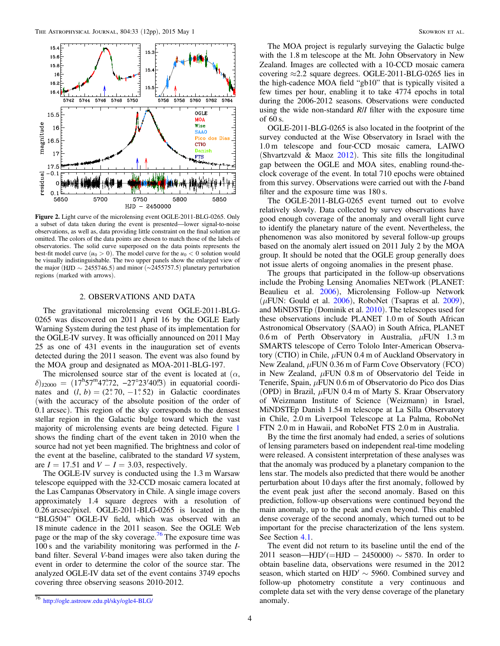<span id="page-5-0"></span>

Figure 2. Light curve of the microlensing event OGLE-2011-BLG-0265. Only a subset of data taken during the event is presented—lower signal-to-noise observations, as well as, data providing little constraint on the final solution are omitted. The colors of the data points are chosen to match those of the labels of observatories. The solid curve superposed on the data points represents the best-fit model curve  $(u_0 > 0)$ . The model curve for the  $u_0 < 0$  solution would be visually indistinguishable. The two upper panels show the enlarged view of the major (HJD  $\sim$  2455746.5) and minor ( $\sim$ 2455757.5) planetary perturbation regions (marked with arrows).

## 2. OBSERVATIONS AND DATA

The gravitational microlensing event OGLE-2011-BLG-0265 was discovered on 2011 April 16 by the OGLE Early Warning System during the test phase of its implementation for the OGLE-IV survey. It was officially announced on 2011 May 25 as one of 431 events in the inauguration set of events detected during the 2011 season. The event was also found by the MOA group and designated as MOA-2011-BLG-197.

The microlensed source star of the event is located at  $(\alpha, \beta)$  $\delta$ )<sub>J2000</sub> = (17<sup>h</sup>57<sup>m</sup>47°72, -27°23′40′3) in equatorial coordinates and  $(l, b) = (2^{\circ}70, -1^{\circ}52)$  in Galactic coordinates (with the accuracy of the absolute position of the order of 0.1 arcsec). This region of the sky corresponds to the densest stellar region in the Galactic bulge toward which the vast majority of microlensing events are being detected. Figure [1](#page-4-0) shows the finding chart of the event taken in 2010 when the source had not yet been magnified. The brightness and color of the event at the baseline, calibrated to the standard VI system, are  $I = 17.51$  and  $V - I = 3.03$ , respectively.

The OGLE-IV survey is conducted using the 1.3 m Warsaw telescope equipped with the 32-CCD mosaic camera located at the Las Campanas Observatory in Chile. A single image covers approximately 1.4 square degrees with a resolution of 0.26 arcsec/pixel. OGLE-2011-BLG-0265 is located in the "BLG504" OGLE-IV field, which was observed with an 18 minute cadence in the 2011 season. See the OGLE Web page or the map of the sky coverage.<sup>76</sup> The exposure time was 100 s and the variability monitoring was performed in the Iband filter. Several V-band images were also taken during the event in order to determine the color of the source star. The analyzed OGLE-IV data set of the event contains 3749 epochs covering three observing seasons 2010-2012.

The MOA project is regularly surveying the Galactic bulge with the 1.8 m telescope at the Mt. John Observatory in New Zealand. Images are collected with a 10-CCD mosaic camera covering  $\approx$  2.2 square degrees. OGLE-2011-BLG-0265 lies in the high-cadence MOA field "gb10" that is typically visited a few times per hour, enabling it to take 4774 epochs in total during the 2006-2012 seasons. Observations were conducted using the wide non-standard  $R/I$  filter with the exposure time of 60 s.

OGLE-2011-BLG-0265 is also located in the footprint of the survey conducted at the Wise Observatory in Israel with the 1.0 m telescope and four-CCD mosaic camera, LAIWO (Shvartzvald  $&$  Maoz [2012](#page-13-0)). This site fills the longitudinal gap between the OGLE and MOA sites, enabling round-theclock coverage of the event. In total 710 epochs were obtained from this survey. Observations were carried out with the I-band filter and the exposure time was 180 s.

The OGLE-2011-BLG-0265 event turned out to evolve relatively slowly. Data collected by survey observations have good enough coverage of the anomaly and overall light curve to identify the planetary nature of the event. Nevertheless, the phenomenon was also monitored by several follow-up groups based on the anomaly alert issued on 2011 July 2 by the MOA group. It should be noted that the OGLE group generally does not issue alerts of ongoing anomalies in the present phase.

The groups that participated in the follow-up observations include the Probing Lensing Anomalies NETwork (PLANET: Beaulieu et al. [2006](#page-12-0)), Microlensing Follow-up Network ( $\mu$ FUN: Gould et al. [2006](#page-13-0)), RoboNet (Tsapras et al. [2009](#page-13-0)), and MiNDSTEp (Dominik et al. [2010](#page-13-0)). The telescopes used for these observations include PLANET 1.0 m of South African Astronomical Observatory (SAAO) in South Africa, PLANET 0.6 m of Perth Observatory in Australia,  $\mu$ FUN 1.3 m SMARTS telescope of Cerro Tololo Inter-American Observatory (CTIO) in Chile,  $\mu$ FUN 0.4 m of Auckland Observatory in New Zealand, μFUN 0.36 m of Farm Cove Observatory (FCO) in New Zealand,  $\mu$ FUN 0.8 m of Observatorio del Teide in Tenerife, Spain,  $\mu$ FUN 0.6 m of Observatorio do Pico dos Dias (OPD) in Brazil,  $\mu$ FUN 0.4 m of Marty S. Kraar Observatory of Weizmann Institute of Science (Weizmann) in Israel, MiNDSTEp Danish 1.54 m telescope at La Silla Observatory in Chile, 2.0 m Liverpool Telescope at La Palma, RoboNet FTN 2.0 m in Hawaii, and RoboNet FTS 2.0 m in Australia.

By the time the first anomaly had ended, a series of solutions of lensing parameters based on independent real-time modeling were released. A consistent interpretation of these analyses was that the anomaly was produced by a planetary companion to the lens star. The models also predicted that there would be another perturbation about 10 days after the first anomaly, followed by the event peak just after the second anomaly. Based on this prediction, follow-up observations were continued beyond the main anomaly, up to the peak and even beyond. This enabled dense coverage of the second anomaly, which turned out to be important for the precise characterization of the lens system. See Section [4.1.](#page-8-0)

The event did not return to its baseline until the end of the 2011 season—HJD'(=HJD - 2450000)  $\sim$  5870. In order to obtain baseline data, observations were resumed in the 2012 season, which started on  $HJD' \sim 5960$ . Combined survey and follow-up photometry constitute a very continuous and complete data set with the very dense coverage of the planetary anomaly.

<sup>76</sup> <http://ogle.astrouw.edu.pl/sky/ogle4-BLG/>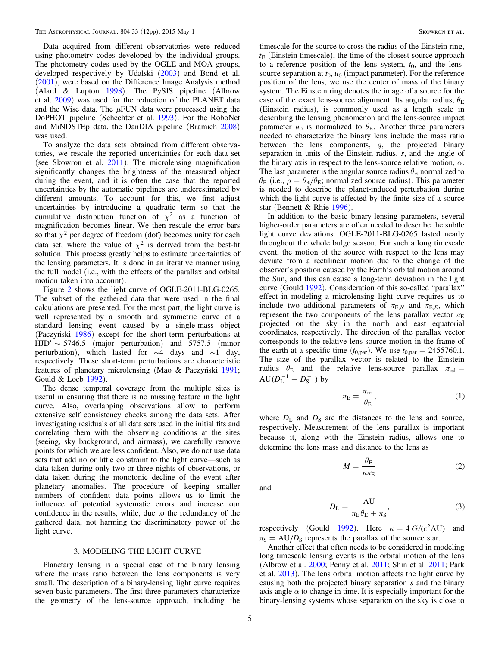<span id="page-6-0"></span>Data acquired from different observatories were reduced using photometry codes developed by the individual groups. The photometry codes used by the OGLE and MOA groups, developed respectively by Udalski ([2003](#page-13-0)) and Bond et al. ([2001](#page-12-0)), were based on the Difference Image Analysis method (Alard & Lupton [1998](#page-12-0)). The PySIS pipeline (Albrow et al. [2009](#page-12-0)) was used for the reduction of the PLANET data and the Wise data. The  $\mu$ FUN data were processed using the DoPHOT pipeline (Schechter et al. [1993](#page-13-0)). For the RoboNet and MiNDSTEp data, the DanDIA pipeline (Bramich [2008](#page-12-0)) was used.

To analyze the data sets obtained from different observatories, we rescale the reported uncertainties for each data set (see Skowron et al. [2011](#page-13-0)). The microlensing magnification significantly changes the brightness of the measured object during the event, and it is often the case that the reported uncertainties by the automatic pipelines are underestimated by different amounts. To account for this, we first adjust uncertainties by introducing a quadratic term so that the cumulative distribution function of  $\chi^2$  as a function of magnification becomes linear. We then rescale the error bars so that  $\chi^2$  per degree of freedom (dof) becomes unity for each data set, where the value of  $\chi^2$  is derived from the best-fit solution. This process greatly helps to estimate uncertainties of the lensing parameters. It is done in an iterative manner using the full model (i.e., with the effects of the parallax and orbital motion taken into account).

Figure [2](#page-5-0) shows the light curve of OGLE-2011-BLG-0265. The subset of the gathered data that were used in the final calculations are presented. For the most part, the light curve is well represented by a smooth and symmetric curve of a standard lensing event caused by a single-mass object (Paczyński [1986](#page-13-0)) except for the short-term perturbations at  $HJD' \sim 5746.5$  (major perturbation) and 5757.5 (minor perturbation), which lasted for ∼4 days and ∼1 day, respectively. These short-term perturbations are characteristic features of planetary microlensing (Mao & Paczyński [1991](#page-13-0); Gould & Loeb [1992](#page-13-0)).

The dense temporal coverage from the multiple sites is useful in ensuring that there is no missing feature in the light curve. Also, overlapping observations allow to perform extensive self consistency checks among the data sets. After investigating residuals of all data sets used in the initial fits and correlating them with the observing conditions at the sites (seeing, sky background, and airmass), we carefully remove points for which we are less confident. Also, we do not use data sets that add no or little constraint to the light curve—such as data taken during only two or three nights of observations, or data taken during the monotonic decline of the event after planetary anomalies. The procedure of keeping smaller numbers of confident data points allows us to limit the influence of potential systematic errors and increase our confidence in the results, while, due to the redundancy of the gathered data, not harming the discriminatory power of the light curve.

## 3. MODELING THE LIGHT CURVE

Planetary lensing is a special case of the binary lensing where the mass ratio between the lens components is very small. The description of a binary-lensing light curve requires seven basic parameters. The first three parameters characterize the geometry of the lens-source approach, including the

timescale for the source to cross the radius of the Einstein ring,  $t_{\rm E}$  (Einstein timescale), the time of the closest source approach to a reference position of the lens system,  $t_0$ , and the lenssource separation at  $t_0$ ,  $u_0$  (impact parameter). For the reference position of the lens, we use the center of mass of the binary system. The Einstein ring denotes the image of a source for the case of the exact lens-source alignment. Its angular radius,  $\theta_{\rm E}$ (Einstein radius), is commonly used as a length scale in describing the lensing phenomenon and the lens-source impact parameter  $u_0$  is normalized to  $\theta_E$ . Another three parameters needed to characterize the binary lens include the mass ratio between the lens components,  $q$ , the projected binary separation in units of the Einstein radius, s, and the angle of the binary axis in respect to the lens-source relative motion,  $\alpha$ . The last parameter is the angular source radius  $\theta_*$  normalized to  $\theta_{\rm E}$  (i.e.,  $\rho = \theta_{\rm *}/\theta_{\rm E}$ ; normalized source radius). This parameter is needed to describe the planet-induced perturbation during which the light curve is affected by the finite size of a source star (Bennett & Rhie [1996](#page-12-0)).

In addition to the basic binary-lensing parameters, several higher-order parameters are often needed to describe the subtle light curve deviations. OGLE-2011-BLG-0265 lasted nearly throughout the whole bulge season. For such a long timescale event, the motion of the source with respect to the lens may deviate from a rectilinear motion due to the change of the observer's position caused by the Earth's orbital motion around the Sun, and this can cause a long-term deviation in the light curve (Gould [1992](#page-13-0)). Consideration of this so-called "parallax" effect in modeling a microlensing light curve requires us to include two additional parameters of  $\pi_{E,N}$  and  $\pi_{E,E}$ , which represent the two components of the lens parallax vector  $\pi_E$ projected on the sky in the north and east equatorial coordinates, respectively. The direction of the parallax vector corresponds to the relative lens-source motion in the frame of the earth at a specific time  $(t_{0,par})$ . We use  $t_{0,par} = 2455760.1$ . The size of the parallax vector is related to the Einstein radius  $\theta_{\rm E}$  and the relative lens-source parallax  $\pi_{\rm rel} =$  $AU(D_{L}^{-1} - D_{S}^{-1})$  by

$$
\pi_{\rm E} = \frac{\pi_{\rm rel}}{\theta_{\rm E}},\tag{1}
$$

where  $D_{\rm L}$  and  $D_{\rm S}$  are the distances to the lens and source, respectively. Measurement of the lens parallax is important because it, along with the Einstein radius, allows one to determine the lens mass and distance to the lens as

$$
M = \frac{\theta_{\rm E}}{\kappa \pi_{\rm E}}\tag{2}
$$

and

$$
D_{\rm L} = \frac{\rm AU}{\pi_{\rm E}\theta_{\rm E} + \pi_{\rm S}},\tag{3}
$$

respectively (Gould [1992](#page-13-0)). Here  $\kappa = 4 G/(c^2 AU)$  and  $\pi_S = AU/D_S$  represents the parallax of the source star.

Another effect that often needs to be considered in modeling long timescale lensing events is the orbital motion of the lens (Albrow et al. [2000](#page-12-0); Penny et al. [2011;](#page-13-0) Shin et al. [2011](#page-13-0); Park et al. [2013](#page-13-0)). The lens orbital motion affects the light curve by causing both the projected binary separation s and the binary axis angle  $\alpha$  to change in time. It is especially important for the binary-lensing systems whose separation on the sky is close to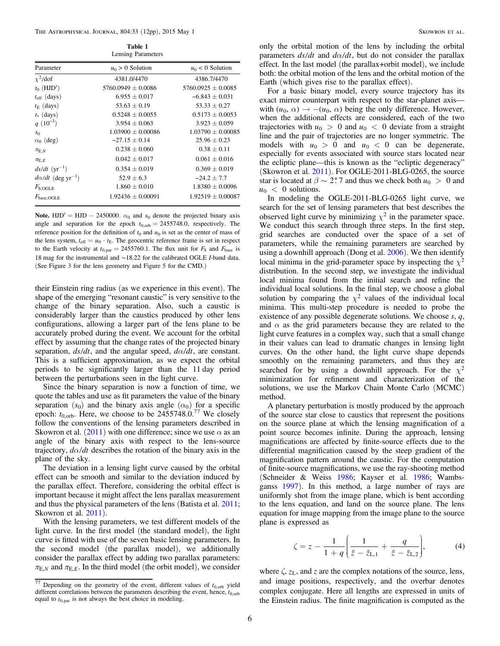Table 1 Lensing Parameters

<span id="page-7-0"></span>

|                                      | $B_{\text{enomin}}$ is determined by |                       |
|--------------------------------------|--------------------------------------|-----------------------|
| Parameter                            | $u_0 > 0$ Solution                   | $u_0$ < 0 Solution    |
| $\chi^2$ /dof                        | 4381.0/4470                          | 4386.7/4470           |
| $t_0$ (HJD')                         | $5760.0949 \pm 0.0086$               | $5760.0925 + 0.0085$  |
| $t_{\rm eff}$ (days)                 | $6.955 \pm 0.017$                    | $-6.843 \pm 0.031$    |
| $t_{\rm E}$ (days)                   | $53.63 \pm 0.19$                     | $53.33 \pm 0.27$      |
| $t$ (days)                           | $0.5248 + 0.0055$                    | $0.5173 + 0.0053$     |
| $q(10^{-3})$                         | $3.954 \pm 0.063$                    | $3.923 \pm 0.059$     |
| $S_{0}$                              | $1.03900 \pm 0.00086$                | $1.03790 \pm 0.00085$ |
| $\alpha_0$ (deg)                     | $-27.15 \pm 0.14$                    | $25.96 \pm 0.23$      |
| $\pi_{E,N}$                          | $0.238 \pm 0.060$                    | $0.38 \pm 0.11$       |
| $\pi_{E.E}$                          | $0.042 \pm 0.017$                    | $0.061 \pm 0.016$     |
| $ds/dt$ (yr <sup>-1</sup> )          | $0.354 \pm 0.019$                    | $0.369 \pm 0.019$     |
| $d\alpha/dt$ (deg yr <sup>-1</sup> ) | $52.9 \pm 6.3$                       | $-24.2 + 7.7$         |
| $F_{S,OGLE}$                         | $1.860 \pm 0.010$                    | $1.8380 \pm 0.0096$   |
| $F_{base,OGLE}$                      | $1.92436 \pm 0.00091$                | $1.92519 \pm 0.00087$ |
|                                      |                                      |                       |

Note. HJD' = HJD - 2450000.  $\alpha_0$  and  $s_0$  denote the projected binary axis angle and separation for the epoch  $t_{0,\text{orb}} = 2455748.0$ , respectively. The reference position for the definition of  $t_0$  and  $u_0$  is set as the center of mass of the lens system,  $t_{\text{eff}} = u_0 \cdot t_E$ . The geocentric reference frame is set in respect to the Earth velocity at  $t_{0,par} = 2455760.1$ . The flux unit for  $F_S$  and  $F_{base}$  is 18 mag for the instrumental and ∼18.22 for the calibrated OGLE I-band data. (See Figure [3](#page-8-0) for the lens geometry and Figure [5](#page-9-0) for the CMD.)

their Einstein ring radius (as we experience in this event). The shape of the emerging "resonant caustic" is very sensitive to the change of the binary separation. Also, such a caustic is considerably larger than the caustics produced by other lens configurations, allowing a larger part of the lens plane to be accurately probed during the event. We account for the orbital effect by assuming that the change rates of the projected binary separation,  $ds/dt$ , and the angular speed,  $d\alpha/dt$ , are constant. This is a sufficient approximation, as we expect the orbital periods to be significantly larger than the 11 day period between the perturbations seen in the light curve.

Since the binary separation is now a function of time, we quote the tables and use as fit parameters the value of the binary separation  $(s_0)$  and the binary axis angle  $(\alpha_0)$  for a specific epoch:  $t_{0,\text{orb}}$ . Here, we choose to be  $2455748.0$ .<sup>77</sup> We closely follow the conventions of the lensing parameters described in Skowron et al. ([2011](#page-13-0)) with one difference; since we use  $\alpha$  as an angle of the binary axis with respect to the lens-source trajectory,  $d\alpha/dt$  describes the rotation of the binary axis in the plane of the sky.

The deviation in a lensing light curve caused by the orbital effect can be smooth and similar to the deviation induced by the parallax effect. Therefore, considering the orbital effect is important because it might affect the lens parallax measurement and thus the physical parameters of the lens (Batista et al. [2011](#page-12-0); Skowron et al. [2011](#page-13-0)).

With the lensing parameters, we test different models of the light curve. In the first model (the standard model), the light curve is fitted with use of the seven basic lensing parameters. In the second model (the parallax model), we additionally consider the parallax effect by adding two parallax parameters:  $\pi_{E,N}$  and  $\pi_{E,E}$ . In the third model (the orbit model), we consider only the orbital motion of the lens by including the orbital parameters  $ds/dt$  and  $d\alpha/dt$ , but do not consider the parallax effect. In the last model (the parallax+orbit model), we include both: the orbital motion of the lens and the orbital motion of the Earth (which gives rise to the parallax effect).

For a basic binary model, every source trajectory has its exact mirror counterpart with respect to the star-planet axis with  $(u_0, \alpha) \rightarrow -(u_0, \alpha)$  being the only difference. However, when the additional effects are considered, each of the two trajectories with  $u_0 > 0$  and  $u_0 < 0$  deviate from a straight line and the pair of trajectories are no longer symmetric. The models with  $u_0 > 0$  and  $u_0 < 0$  can be degenerate, especially for events associated with source stars located near the ecliptic plane—this is known as the "ecliptic degeneracy" (Skowron et al. [2011](#page-13-0)). For OGLE-2011-BLG-0265, the source star is located at  $\beta \sim 2.7$  and thus we check both  $u_0 > 0$  and  $u_0 < 0$  solutions.

In modeling the OGLE-2011-BLG-0265 light curve, we search for the set of lensing parameters that best describes the observed light curve by minimizing  $\chi^2$  in the parameter space. We conduct this search through three steps. In the first step, grid searches are conducted over the space of a set of parameters, while the remaining parameters are searched by using a downhill approach (Dong et al. [2006](#page-13-0)). We then identify local minima in the grid-parameter space by inspecting the  $\chi^2$ distribution. In the second step, we investigate the individual local minima found from the initial search and refine the individual local solutions. In the final step, we choose a global solution by comparing the  $\chi^2$  values of the individual local minima. This multi-step procedure is needed to probe the existence of any possible degenerate solutions. We choose  $s, q$ , and  $\alpha$  as the grid parameters because they are related to the light curve features in a complex way, such that a small change in their values can lead to dramatic changes in lensing light curves. On the other hand, the light curve shape depends smoothly on the remaining parameters, and thus they are searched for by using a downhill approach. For the  $\chi^2$ minimization for refinement and characterization of the solutions, we use the Markov Chain Monte Carlo (MCMC) method.

A planetary perturbation is mostly produced by the approach of the source star close to caustics that represent the positions on the source plane at which the lensing magnification of a point source becomes infinite. During the approach, lensing magnifications are affected by finite-source effects due to the differential magnification caused by the steep gradient of the magnification pattern around the caustic. For the computation of finite-source magnifications, we use the ray-shooting method (Schneider & Weiss [1986;](#page-13-0) Kayser et al. [1986](#page-13-0); Wambsganss [1997](#page-13-0)). In this method, a large number of rays are uniformly shot from the image plane, which is bent according to the lens equation, and land on the source plane. The lens equation for image mapping from the image plane to the source plane is expressed as

$$
\zeta = z - \frac{1}{1+q} \left( \frac{1}{\bar{z} - \bar{z}_{L,1}} + \frac{q}{\bar{z} - \bar{z}_{L,2}} \right),\tag{4}
$$

where  $\zeta$ ,  $z_L$ , and z are the complex notations of the source, lens, and image positions, respectively, and the overbar denotes complex conjugate. Here all lengths are expressed in units of the Einstein radius. The finite magnification is computed as the

 $\frac{77}{77}$  Depending on the geometry of the event, different values of  $t_{0,\text{orb}}$  yield different correlations between the parameters describing the event, hence, *t*0,orb equal to  $t_{0,par}$  is not always the best choice in modeling.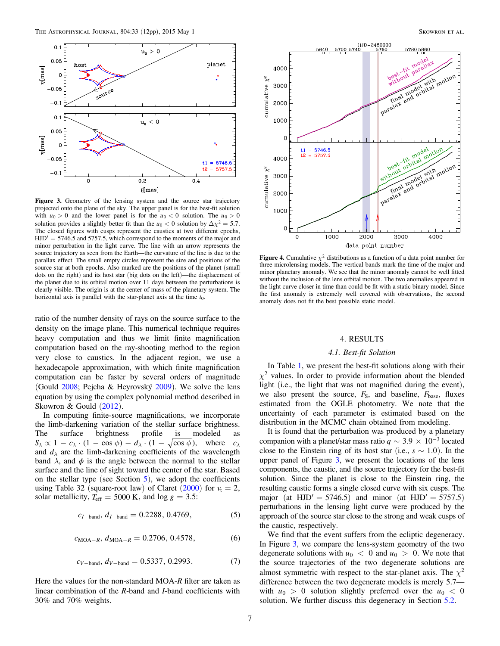<span id="page-8-0"></span>

Figure 3. Geometry of the lensing system and the source star trajectory projected onto the plane of the sky. The upper panel is for the best-fit solution with  $u_0 > 0$  and the lower panel is for the  $u_0 < 0$  solution. The  $u_0 > 0$ solution provides a slightly better fit than the  $u_0 < 0$  solution by  $\Delta \chi^2 = 5.7$ . The closed figures with cusps represent the caustics at two different epochs,  $HJD' = 5746.5$  and 5757.5, which correspond to the moments of the major and minor perturbation in the light curve. The line with an arrow represents the source trajectory as seen from the Earth—the curvature of the line is due to the parallax effect. The small empty circles represent the size and positions of the source star at both epochs. Also marked are the positions of the planet (small dots on the right) and its host star (big dots on the left)—the displacement of the planet due to its orbital motion over 11 days between the perturbations is clearly visible. The origin is at the center of mass of the planetary system. The horizontal axis is parallel with the star-planet axis at the time  $t_0$ .

ratio of the number density of rays on the source surface to the density on the image plane. This numerical technique requires heavy computation and thus we limit finite magnification computation based on the ray-shooting method to the region very close to caustics. In the adjacent region, we use a hexadecapole approximation, with which finite magnification computation can be faster by several orders of magnitude (Gould [2008](#page-13-0); Pejcha & Heyrovský [2009](#page-13-0)). We solve the lens equation by using the complex polynomial method described in Skowron & Gould ([2012](#page-13-0)).

In computing finite-source magnifications, we incorporate the limb-darkening variation of the stellar surface brightness. The surface brightness profile is modeled as  $S_{\lambda} \propto 1 - c_{\lambda} \cdot (1 - \cos \phi) - d_{\lambda} \cdot (1 - \sqrt{\cos \phi})$ , where  $c_{\lambda}$ and  $d_{\lambda}$  are the limb-darkening coefficients of the wavelength band  $\lambda$ , and  $\phi$  is the angle between the normal to the stellar surface and the line of sight toward the center of the star. Based on the stellar type (see Section  $5$ ), we adopt the coefficients using Table 32 (square-root law) of Claret  $(2000)$  $(2000)$  $(2000)$  for  $v_t = 2$ , solar metallicity,  $T_{\text{eff}} = 5000 \text{ K}$ , and  $\log g = 3.5$ *;* 

$$
c_{I-\text{band}}, d_{I-\text{band}} = 0.2288, 0.4769,\tag{5}
$$

$$
c_{\text{MOA}-R}, d_{\text{MOA}-R} = 0.2706, 0.4578,\tag{6}
$$

$$
c_{V-band}, d_{V-band} = 0.5337, 0.2993.
$$
 (7)

Here the values for the non-standard MOA-R filter are taken as linear combination of the R-band and I-band coefficients with 30% and 70% weights.



**Figure 4.** Cumulative  $\chi^2$  distributions as a function of a data point number for three microlensing models. The vertical bands mark the time of the major and minor planetary anomaly. We see that the minor anomaly cannot be well fitted without the inclusion of the lens orbital motion. The two anomalies appeared in the light curve closer in time than could be fit with a static binary model. Since the first anomaly is extremely well covered with observations, the second anomaly does not fit the best possible static model.

#### 4. RESULTS

#### 4.1. Best-fit Solution

In Table [1,](#page-7-0) we present the best-fit solutions along with their  $\chi^2$  values. In order to provide information about the blended light (i.e., the light that was not magnified during the event), we also present the source,  $F_S$ , and baseline,  $F_{base}$ , fluxes estimated from the OGLE photometry. We note that the uncertainty of each parameter is estimated based on the distribution in the MCMC chain obtained from modeling.

It is found that the perturbation was produced by a planetary companion with a planet/star mass ratio  $q \sim 3.9 \times 10^{-3}$  located close to the Einstein ring of its host star (i.e.,  $s \sim 1.0$ ). In the upper panel of Figure 3, we present the locations of the lens components, the caustic, and the source trajectory for the best-fit solution. Since the planet is close to the Einstein ring, the resulting caustic forms a single closed curve with six cusps. The major (at HJD' = 5746.5) and minor (at HJD' = 5757.5) perturbations in the lensing light curve were produced by the approach of the source star close to the strong and weak cusps of the caustic, respectively.

We find that the event suffers from the ecliptic degeneracy. In Figure 3, we compare the lens-system geometry of the two degenerate solutions with  $u_0 < 0$  and  $u_0 > 0$ . We note that the source trajectories of the two degenerate solutions are almost symmetric with respect to the star-planet axis. The  $\chi^2$ difference between the two degenerate models is merely 5.7 with  $u_0 > 0$  solution slightly preferred over the  $u_0 < 0$ solution. We further discuss this degeneracy in Section [5.2.](#page-11-0)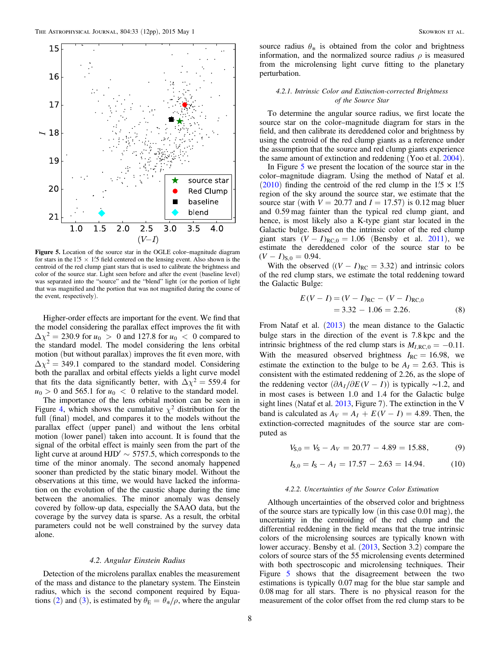<span id="page-9-0"></span>

Figure 5. Location of the source star in the OGLE color–magnitude diagram for stars in the 1.5  $\times$  1.5 field centered on the lensing event. Also shown is the centroid of the red clump giant stars that is used to calibrate the brightness and color of the source star. Light seen before and after the event (baseline level) was separated into the "source" and the "blend" light (or the portion of light that was magnified and the portion that was not magnified during the course of the event, respectively).

Higher-order effects are important for the event. We find that the model considering the parallax effect improves the fit with  $\Delta \chi^2 = 230.9$  for  $u_0 > 0$  and 127.8 for  $u_0 < 0$  compared to the standard model. The model considering the lens orbital motion (but without parallax) improves the fit even more, with  $\Delta\chi^2$  = 349.1 compared to the standard model. Considering both the parallax and orbital effects yields a light curve model that fits the data significantly better, with  $\Delta \chi^2 = 559.4$  for  $u_0 > 0$  and 565.1 for  $u_0 < 0$  relative to the standard model. The importance of the lens orbital motion can be seen in Figure [4](#page-8-0), which shows the cumulative  $\chi^2$  distribution for the full (final) model, and compares it to the models without the parallax effect (upper panel) and without the lens orbital motion (lower panel) taken into account. It is found that the signal of the orbital effect is mainly seen from the part of the light curve at around  $HJD' \sim 5757.5$ , which corresponds to the time of the minor anomaly. The second anomaly happened sooner than predicted by the static binary model. Without the observations at this time, we would have lacked the information on the evolution of the the caustic shape during the time between the anomalies. The minor anomaly was densely covered by follow-up data, especially the SAAO data, but the coverage by the survey data is sparse. As a result, the orbital parameters could not be well constrained by the survey data alone.

#### 4.2. Angular Einstein Radius

Detection of the microlens parallax enables the measurement of the mass and distance to the planetary system. The Einstein radius, which is the second component required by Equa-tions ([2](#page-6-0)) and ([3](#page-6-0)), is estimated by  $\theta_{\rm E} = \theta_{\rm \ast}/\rho$ , where the angular

source radius  $\theta_*$  is obtained from the color and brightness information, and the normalized source radius  $\rho$  is measured from the microlensing light curve fitting to the planetary perturbation.

## 4.2.1. Intrinsic Color and Extinction-corrected Brightness of the Source Star

To determine the angular source radius, we first locate the source star on the color–magnitude diagram for stars in the field, and then calibrate its dereddened color and brightness by using the centroid of the red clump giants as a reference under the assumption that the source and red clump giants experience the same amount of extinction and reddening (Yoo et al. [2004](#page-13-0)).

In Figure 5 we present the location of the source star in the color–magnitude diagram. Using the method of Nataf et al. ([2010](#page-13-0)) finding the centroid of the red clump in the  $1.5 \times 1.5$ region of the sky around the source star, we estimate that the source star (with  $V = 20.77$  and  $I = 17.57$ ) is 0.12 mag bluer and 0.59 mag fainter than the typical red clump giant, and hence, is most likely also a K-type giant star located in the Galactic bulge. Based on the intrinsic color of the red clump giant stars  $(V - I)_{RC,0} = 1.06$  (Bensby et al. [2011](#page-12-0)), we estimate the dereddened color of the source star to be  $(V - I)_{S,0} = 0.94.$ 

With the observed  $((V - I)_{RC} = 3.32)$  and intrinsic colors of the red clump stars, we estimate the total reddening toward the Galactic Bulge:

$$
E(V - I) = (V - I)_{RC} - (V - I)_{RC,0}
$$
  
= 3.32 - 1.06 = 2.26. (8)

From Nataf et al. ([2013](#page-13-0)) the mean distance to the Galactic bulge stars in the direction of the event is 7.8 kpc and the intrinsic brightness of the red clump stars is  $M_{I,RC,0} = -0.11$ . With the measured observed brightness  $I_{RC} = 16.98$ , we estimate the extinction to the bulge to be  $A<sub>I</sub> = 2.63$ . This is consistent with the estimated reddening of 2.26, as the slope of the reddening vector  $(\partial A_I/\partial E(V - I))$  is typically ~1.2, and in most cases is between 1.0 and 1.4 for the Galactic bulge sight lines (Nataf et al. [2013](#page-13-0), Figure 7). The extinction in the V band is calculated as  $A_V = A_I + E(V - I) = 4.89$ . Then, the extinction-corrected magnitudes of the source star are computed as

$$
V_{S,0} = V_S - A_V = 20.77 - 4.89 = 15.88,
$$
 (9)

$$
I_{S,0} = I_S - A_I = 17.57 - 2.63 = 14.94.
$$
 (10)

#### 4.2.2. Uncertainties of the Source Color Estimation

Although uncertainties of the observed color and brightness of the source stars are typically low (in this case 0.01 mag), the uncertainty in the centroiding of the red clump and the differential reddening in the field means that the true intrinsic colors of the microlensing sources are typically known with lower accuracy. Bensby et al. ([2013,](#page-12-0) Section 3.2) compare the colors of source stars of the 55 microlensing events determined with both spectroscopic and microlensing techniques. Their Figure 5 shows that the disagreement between the two estimations is typically 0.07 mag for the blue star sample and 0.08 mag for all stars. There is no physical reason for the measurement of the color offset from the red clump stars to be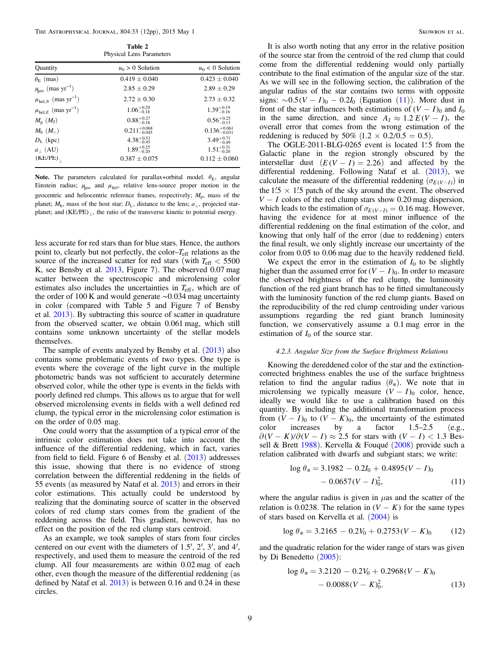Table 2 Physical Lens Parameters

<span id="page-10-0"></span>

| $\ldots$ , siem $\ldots$ is mailleaver.      |                           |                           |  |
|----------------------------------------------|---------------------------|---------------------------|--|
| Quantity                                     | $u_0 > 0$ Solution        | $u_0$ < 0 Solution        |  |
| $\theta_{\rm E}$ (mas)                       | $0.419 \pm 0.040$         | $0.423 \pm 0.040$         |  |
| $\mu_{\text{geo}}$ (mas yr <sup>-1</sup> )   | $2.85 \pm 0.29$           | $2.89 \pm 0.29$           |  |
| $\mu_{\text{hel},N}$ (mas $\text{yr}^{-1}$ ) | $2.72 \pm 0.30$           | $2.73 \pm 0.32$           |  |
| $\mu_{{\rm hel},E}$ (mas ${\rm yr}^{-1})$    | $1.06_{-0.18}^{+0.29}$    | $1.39_{-0.16}^{+0.19}$    |  |
| $M_{\rm p}~(M_{\rm J})$                      | $0.88^{+0.27}_{-0.18}$    | $0.56^{+0.25}_{-0.13}$    |  |
| $M_{\rm h}~(M_{\odot})$                      | $0.211_{-0.045}^{+0.068}$ | $0.136_{-0.031}^{+0.061}$ |  |
| $D_{\rm L}$ (kpc)                            | $4.38^{+0.51}_{-0.45}$    | $3.49^{+0.71}_{-0.49}$    |  |
| $a_{\perp}$ (AU)                             | $1.89^{+0.25}_{-0.20}$    | $1.51^{+0.31}_{-0.20}$    |  |
| (KE/PE)                                      | $0.387 \pm 0.075$         | $0.112 \pm 0.060$         |  |
|                                              |                           |                           |  |

Note. The parameters calculated for parallax+orbital model.  $\theta_{\text{E}}$ , angular Einstein radius;  $\mu_{\text{geo}}$  and  $\mu_{\text{hel}}$ , relative lens-source proper motion in the geocentric and heliocentric reference frames, respectively;  $M_p$ , mass of the planet;  $M_h$ , mass of the host star;  $D_L$ , distance to the lens;  $a_{\perp}$ , projected starplanet; and  $(KE/PE)_{\perp}$ , the ratio of the transverse kinetic to potential energy.

less accurate for red stars than for blue stars. Hence, the authors point to, clearly but not perfectly, the color–*T*eff relations as the source of the increased scatter for red stars (with *T*eff < 5500 K, see Bensby et al. [2013](#page-12-0), Figure 7). The observed 0.07 mag scatter between the spectroscopic and microlensing color estimates also includes the uncertainties in  $T_{\rm eff}$ , which are of the order of 100 K and would generate ∼0.034 mag uncertainty in color (compared with Table 5 and Figure 7 of Bensby et al. [2013](#page-12-0)). By subtracting this source of scatter in quadrature from the observed scatter, we obtain 0.061 mag, which still contains some unknown uncertainty of the stellar models themselves.

The sample of events analyzed by Bensby et al. ([2013](#page-12-0)) also contains some problematic events of two types. One type is events where the coverage of the light curve in the multiple photometric bands was not sufficient to accurately determine observed color, while the other type is events in the fields with poorly defined red clumps. This allows us to argue that for well observed microlensing events in fields with a well defined red clump, the typical error in the microlensing color estimation is on the order of 0.05 mag.

One could worry that the assumption of a typical error of the intrinsic color estimation does not take into account the influence of the differential reddening, which in fact, varies from field to field. Figure 6 of Bensby et al.  $(2013)$  $(2013)$  $(2013)$  addresses this issue, showing that there is no evidence of strong correlation between the differential reddening in the fields of 55 events (as measured by Nataf et al. [2013](#page-13-0)) and errors in their color estimations. This actually could be understood by realizing that the dominating source of scatter in the observed colors of red clump stars comes from the gradient of the reddening across the field. This gradient, however, has no effect on the position of the red clump stars centroid.

As an example, we took samples of stars from four circles centered on our event with the diameters of 1.5′, 2′, 3′, and 4′, respectively, and used them to measure the centroid of the red clump. All four measurements are within 0.02 mag of each other, even though the measure of the differential reddening (as defined by Nataf et al. [2013](#page-13-0)) is between 0.16 and 0.24 in these circles.

It is also worth noting that any error in the relative position of the source star from the centroid of the red clump that could come from the differential reddening would only partially contribute to the final estimation of the angular size of the star. As we will see in the following section, the calibration of the angular radius of the star contains two terms with opposite signs:  $\sim 0.5(V - I)_0 - 0.2I_0$  (Equation (11)). More dust in front of the star influences both estimations of  $(V - I)$ <sub>0</sub> and  $I_0$ in the same direction, and since  $A_I \approx 1.2 E(V - I)$ , the overall error that comes from the wrong estimation of the reddening is reduced by 50% (1.2  $\times$  0.2/0.5 = 0.5).

The OGLE-2011-BLG-0265 event is located 1:5 from the Galactic plane in the region strongly obscured by the interstellar dust  $(E(V - I) = 2.26)$  and affected by the differential reddening. Following Nataf et al. ([2013](#page-13-0)), we calculate the measure of the differential reddening  $(\sigma_{E(V-I)})$  in the 1.5  $\times$  1.5 patch of the sky around the event. The observed  $V - I$  colors of the red clump stars show 0.20 mag dispersion, which leads to the estimation of  $\sigma_{E(V-I)} = 0.16$  mag. However, having the evidence for at most minor influence of the differential reddening on the final estimation of the color, and knowing that only half of the error (due to reddening) enters the final result, we only slightly increase our uncertainty of the color from 0.05 to 0.06 mag due to the heavily reddened field.

We expect the error in the estimation of  $I_0$  to be slightly higher than the assumed error for  $(V - I)$ <sup>0</sup>. In order to measure the observed brightness of the red clump, the luminosity function of the red giant branch has to be fitted simultaneously with the luminosity function of the red clump giants. Based on the reproducibility of the red clump centroiding under various assumptions regarding the red giant branch luminosity function, we conservatively assume a 0.1 mag error in the estimation of  $I_0$  of the source star.

#### 4.2.3. Angular Size from the Surface Brightness Relations

Knowing the dereddened color of the star and the extinctioncorrected brightness enables the use of the surface brightness relation to find the angular radius  $(\theta_*)$ . We note that in microlensing we typically measure  $(V - I)$ <sup>0</sup> color, hence, ideally we would like to use a calibration based on this quantity. By including the additional transformation process from  $(V - I)$ <sup>0</sup> to  $(V - K)$ <sup>0</sup>, the uncertainty of the estimated color increases by a factor 1.5–2.5 (e.g.,  $\partial (V - K)/\partial (V - I) \approx 2.5$  for stars with  $(V - I) < 1.3$  Bessell & Brett [1988](#page-12-0)). Kervella & Fouqué ([2008](#page-13-0)) provide such a relation calibrated with dwarfs and subgiant stars; we write:

$$
\log \theta_* = 3.1982 - 0.2I_0 + 0.4895(V - I)_0
$$
  
- 0.0657(V - I)\_0<sup>2</sup>, (11)

where the angular radius is given in  $\mu$ as and the scatter of the relation is 0.0238. The relation in  $(V - K)$  for the same types of stars based on Kervella et al. ([2004](#page-13-0)) is

$$
\log \theta_* = 3.2165 - 0.2V_0 + 0.2753(V - K)_0 \tag{12}
$$

and the quadratic relation for the wider range of stars was given by Di Benedetto ([2005](#page-13-0)):

$$
\log \theta_* = 3.2120 - 0.2V_0 + 0.2968(V - K)_0 - 0.0088(V - K)_0^2.
$$
 (13)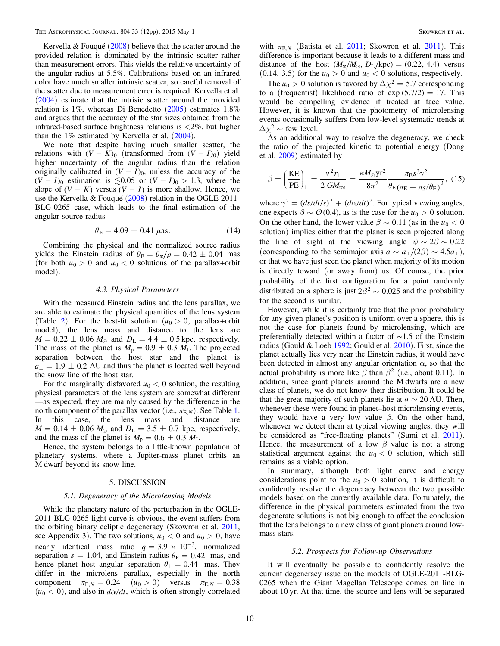<span id="page-11-0"></span>Kervella & Fouqué  $(2008)$  $(2008)$  $(2008)$  believe that the scatter around the provided relation is dominated by the intrinsic scatter rather than measurement errors. This yields the relative uncertainty of the angular radius at 5.5%. Calibrations based on an infrared color have much smaller intrinsic scatter, so careful removal of the scatter due to measurement error is required. Kervella et al. ([2004](#page-13-0)) estimate that the intrisic scatter around the provided relation is 1%, whereas Di Benedetto ([2005](#page-13-0)) estimates 1.8% and argues that the accuracy of the star sizes obtained from the infrared-based surface brightness relations is  $\langle 2\% \rangle$ , but higher than the  $1\%$  estimated by Kervella et al.  $(2004)$  $(2004)$  $(2004)$ .

We note that despite having much smaller scatter, the relations with  $(V - K)_0$  (transformed from  $(V - I)_0$ ) yield higher uncertainty of the angular radius than the relation originally calibrated in  $(V - I)$ <sub>0</sub>, unless the accuracy of the  $(V - I)$ <sup>0</sup> estimation is  $\leq 0.05$  or  $(V - I)$ <sup>0</sup> > 1.3, where the slope of  $(V - K)$  versus  $(V - I)$  is more shallow. Hence, we use the Kervella & Fouqué ([2008](#page-13-0)) relation in the OGLE-2011- BLG-0265 case, which leads to the final estimation of the angular source radius

$$
\theta_* = 4.09 \pm 0.41 \,\mu\text{as.} \tag{14}
$$

Combining the physical and the normalized source radius yields the Einstein radius of  $\theta_{\rm E} = \theta_{\rm \ast}/\rho = 0.42 \pm 0.04$  mas (for both  $u_0 > 0$  and  $u_0 < 0$  solutions of the parallax+orbit model).

#### 4.3. Physical Parameters

With the measured Einstein radius and the lens parallax, we are able to estimate the physical quantities of the lens system (Table [2](#page-10-0)). For the best-fit solution  $(u_0 > 0$ , parallax+orbit model), the lens mass and distance to the lens are  $M = 0.22 \pm 0.06$   $M_{\odot}$  and  $D_{\rm L} = 4.4 \pm 0.5$  kpc, respectively. The mass of the planet is  $M_p = 0.9 \pm 0.3$   $M_J$ . The projected separation between the host star and the planet is  $a_{\perp} = 1.9 \pm 0.2$  AU and thus the planet is located well beyond the snow line of the host star.

For the marginally disfavored  $u_0 < 0$  solution, the resulting physical parameters of the lens system are somewhat different —as expected, they are mainly caused by the difference in the north component of the parallax vector (i.e.,  $\pi_{E,N}$ ). See Table [1.](#page-7-0) In this case, the lens mass and distance are  $M = 0.14 \pm 0.06$   $M_{\odot}$  and  $D_{\rm L} = 3.5 \pm 0.7$  kpc, respectively, and the mass of the planet is  $M_p = 0.6 \pm 0.3$   $M_J$ .

Hence, the system belongs to a little-known population of planetary systems, where a Jupiter-mass planet orbits an M dwarf beyond its snow line.

#### 5. DISCUSSION

#### 5.1. Degeneracy of the Microlensing Models

While the planetary nature of the perturbation in the OGLE-2011-BLG-0265 light curve is obvious, the event suffers from the orbiting binary ecliptic degeneracy (Skowron et al. [2011,](#page-13-0) see Appendix 3). The two solutions,  $u_0 < 0$  and  $u_0 > 0$ , have nearly identical mass ratio  $q = 3.9 \times 10^{-3}$ , normalized separation  $s = 1.04$ , and Einstein radius  $\theta_{\rm E} = 0.42$  mas, and hence planet–host angular separation  $\theta_{\perp} = 0.44$  mas. They differ in the microlens parallax, especially in the north component  $\pi_{E,N} = 0.24$   $(u_0 > 0)$  versus  $\pi_{E,N} = 0.38$  $(u_0 < 0)$ , and also in  $d\alpha/dt$ , which is often strongly correlated

with  $\pi_{E,N}$  (Batista et al. [2011](#page-13-0); Skowron et al. 2011). This difference is important because it leads to a different mass and distance of the host  $(M_*/M_{\odot}, D_{\rm L}/\text{kpc}) = (0.22, 4.4)$  versus  $(0.14, 3.5)$  for the  $u_0 > 0$  and  $u_0 < 0$  solutions, respectively.

The  $u_0 > 0$  solution is favored by  $\Delta \chi^2 = 5.7$  corresponding to a (frequentist) likelihood ratio of  $exp(5.7/2) = 17$ . This would be compelling evidence if treated at face value. However, it is known that the photometry of microlensing events occasionally suffers from low-level systematic trends at  $\Delta\chi^2 \sim$  few level.

As an additional way to resolve the degeneracy, we check the ratio of the projected kinetic to potential energy (Dong et al. [2009](#page-13-0)) estimated by

$$
\beta = \left(\frac{\text{KE}}{\text{PE}}\right)_{\perp} = \frac{v_{\perp}^2 r_{\perp}}{2 \text{ GM}_{\text{tot}}} = \frac{\kappa M_{\odot} \text{yr}^2}{8\pi^2} \frac{\pi_{\text{E}} s^3 \gamma^2}{\theta_{\text{E}} (\pi_{\text{E}} + \pi_{\text{S}}/\theta_{\text{E}})^3}, \tag{15}
$$

where  $\gamma^2 = (ds/dt/s)^2 + (d\alpha/dt)^2$ . For typical viewing angles, one expects  $\beta \sim \mathcal{O}(0.4)$ , as is the case for the  $u_0 > 0$  solution. On the other hand, the lower value  $\beta \sim 0.11$  (as in the  $u_0 < 0$ solution) implies either that the planet is seen projected along the line of sight at the viewing angle  $\psi \sim 2\beta \sim 0.22$ (corresponding to the semimajor axis  $a \sim a_{\perp}/(2\beta) \sim 4.5 a_{\perp}$ ), or that we have just seen the planet when majority of its motion is directly toward (or away from) us. Of course, the prior probability of the first configuration for a point randomly distributed on a sphere is just  $2\beta^2 \sim 0.025$  and the probability for the second is similar.

However, while it is certainly true that the prior probability for any given planet's position is uniform over a sphere, this is not the case for planets found by microlensing, which are preferentially detected within a factor of ∼1.5 of the Einstein radius (Gould & Loeb [1992](#page-13-0); Gould et al. [2010](#page-13-0)). First, since the planet actually lies very near the Einstein radius, it would have been detected in almost any angular orientation  $\alpha$ , so that the actual probability is more like  $\beta$  than  $\beta^2$  (i.e., about 0.11). In addition, since giant planets around the M dwarfs are a new class of planets, we do not know their distribution. It could be that the great majority of such planets lie at  $a \sim 20$  AU. Then, whenever these were found in planet–host microlensing events, they would have a very low value  $\beta$ . On the other hand, whenever we detect them at typical viewing angles, they will be considered as "free-floating planets" (Sumi et al. [2011](#page-13-0)). Hence, the measurement of a low  $\beta$  value is not a strong statistical argument against the  $u_0 < 0$  solution, which still remains as a viable option.

In summary, although both light curve and energy considerations point to the  $u_0 > 0$  solution, it is difficult to confidently resolve the degeneracy between the two possible models based on the currently available data. Fortunately, the difference in the physical parameters estimated from the two degenerate solutions is not big enough to affect the conclusion that the lens belongs to a new class of giant planets around lowmass stars.

#### 5.2. Prospects for Follow-up Observations

It will eventually be possible to confidently resolve the current degeneracy issue on the models of OGLE-2011-BLG-0265 when the Giant Magellan Telescope comes on line in about 10 yr. At that time, the source and lens will be separated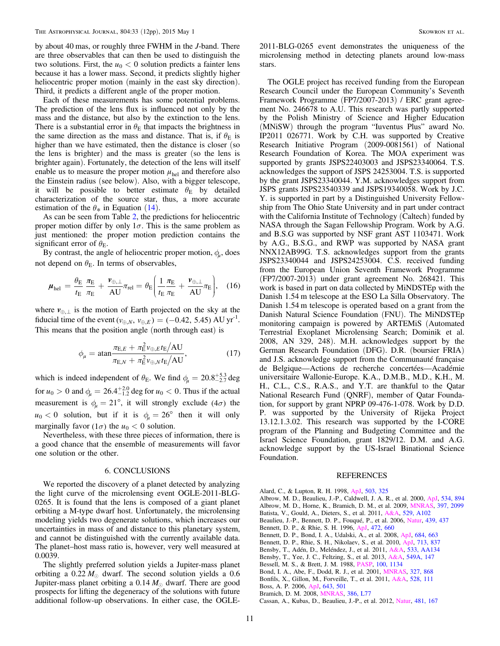<span id="page-12-0"></span>by about 40 mas, or roughly three FWHM in the J-band. There are three observables that can then be used to distinguish the two solutions. First, the  $u_0 < 0$  solution predicts a fainter lens because it has a lower mass. Second, it predicts slightly higher heliocentric proper motion (mainly in the east sky direction). Third, it predicts a different angle of the proper motion.

Each of these measurements has some potential problems. The prediction of the lens flux is influenced not only by the mass and the distance, but also by the extinction to the lens. There is a substantial error in  $\theta_{\rm E}$  that impacts the brightness in the same direction as the mass and distance. That is, if  $\theta$ <sub>E</sub> is higher than we have estimated, then the distance is closer (so the lens is brighter) and the mass is greater (so the lens is brighter again). Fortunately, the detection of the lens will itself enable us to measure the proper motion  $\mu_{hel}$  and therefore also the Einstein radius (see below). Also, with a bigger telescope, it will be possible to better estimate  $\theta_E$  by detailed characterization of the source star, thus, a more accurate estimation of the  $\theta_*$  in Equation ([14](#page-11-0)).

As can be seen from Table [2](#page-10-0), the predictions for heliocentric proper motion differ by only  $1\sigma$ . This is the same problem as just mentioned: the proper motion prediction contains the significant error of  $\theta_{\rm E}$ .

By contrast, the angle of heliocentric proper motion,  $\phi_{\mu}$ , does not depend on  $\theta_{\rm E}$ . In terms of observables,

$$
\mu_{\text{hel}} = \frac{\theta_{\text{E}}}{t_{\text{E}}} \frac{\pi_{\text{E}}}{\pi_{\text{E}}} + \frac{\nu_{\oplus,\perp}}{\text{AU}} \pi_{\text{rel}} = \theta_{\text{E}} \bigg( \frac{1}{t_{\text{E}}} \frac{\pi_{\text{E}}}{\pi_{\text{E}}} + \frac{\nu_{\oplus,\perp}}{\text{AU}} \pi_{\text{E}} \bigg), \quad (16)
$$

where  $v_{\oplus, \perp}$  is the motion of Earth projected on the sky at the fiducial time of the event  $(v_{\oplus,N}, v_{\oplus,E}) = (-0.42, 5.45)$  AU yr<sup>-1</sup>. This means that the position angle (north through east) is

$$
\phi_{\mu} = \operatorname{atan} \frac{\pi_{\mathrm{E},E} + \pi_{\mathrm{E}}^2 v_{\oplus,E} t_{\mathrm{E}} / \mathrm{AU}}{\pi_{\mathrm{E},N} + \pi_{\mathrm{E}}^2 v_{\oplus,N} t_{\mathrm{E}} / \mathrm{AU}},\tag{17}
$$

which is indeed independent of  $\theta_E$ . We find  $\phi_\mu = 20.8^{+5.3}_{-2.7}$  deg for  $u_0 > 0$  and  $\phi_\mu = 26.4^{+2.0}_{-1.2}$  deg for  $u_0 < 0$ . Thus if the actual measurement is  $\phi_{\mu} = 21^{\circ}$ , it will strongly exclude (4 $\sigma$ ) the  $u_0 < 0$  solution, but if it is  $\phi_u = 26^\circ$  then it will only marginally favor  $(1\sigma)$  the  $u_0 < 0$  solution.

Nevertheless, with these three pieces of information, there is a good chance that the ensemble of measurements will favor one solution or the other.

#### 6. CONCLUSIONS

We reported the discovery of a planet detected by analyzing the light curve of the microlensing event OGLE-2011-BLG-0265. It is found that the lens is composed of a giant planet orbiting a M-type dwarf host. Unfortunately, the microlensing modeling yields two degenerate solutions, which increases our uncertainties in mass of and distance to this planetary system, and cannot be distinguished with the currently available data. The planet–host mass ratio is, however, very well measured at 0.0039.

The slightly preferred solution yields a Jupiter-mass planet orbiting a  $0.22 M_{\odot}$  dwarf. The second solution yields a 0.6 Jupiter-mass planet orbiting a  $0.14 M_{\odot}$  dwarf. There are good prospects for lifting the degeneracy of the solutions with future additional follow-up observations. In either case, the OGLE-

2011-BLG-0265 event demonstrates the uniqueness of the microlensing method in detecting planets around low-mass stars.

The OGLE project has received funding from the European Research Council under the European Community's Seventh Framework Programme (FP7/2007-2013) / ERC grant agreement No. 246678 to A.U. This research was partly supported by the Polish Ministry of Science and Higher Education (MNiSW) through the program "Iuventus Plus" award No. IP2011 026771. Work by C.H. was supported by Creative Research Initiative Program (2009-0081561) of National Research Foundation of Korea. The MOA experiment was supported by grants JSPS22403003 and JSPS23340064. T.S. acknowledges the support of JSPS 24253004. T.S. is supported by the grant JSPS23340044. Y.M. acknowledges support from JSPS grants JSPS23540339 and JSPS19340058. Work by J.C. Y. is supported in part by a Distinguished University Fellowship from The Ohio State University and in part under contract with the California Institute of Technology (Caltech) funded by NASA through the Sagan Fellowship Program. Work by A.G. and B.S.G was supported by NSF grant AST 1103471. Work by A.G., B.S.G., and RWP was supported by NASA grant NNX12AB99G. T.S. acknowledges support from the grants JSPS23340044 and JSPS24253004. C.S. received funding from the European Union Seventh Framework Programme (FP7/2007-2013) under grant agreement No. 268421. This work is based in part on data collected by MiNDSTEp with the Danish 1.54 m telescope at the ESO La Silla Observatory. The Danish 1.54 m telescope is operated based on a grant from the Danish Natural Science Foundation (FNU). The MiNDSTEp monitoring campaign is powered by ARTEMiS (Automated Terrestrial Exoplanet Microlensing Search; Dominik et al. 2008, AN 329, 248). M.H. acknowledges support by the German Research Foundation (DFG). D.R. (boursier FRIA) and J.S. acknowledge support from the Communauté française de Belgique—Actions de recherche concertées—Académie universitaire Wallonie-Europe. K.A., D.M.B., M.D., K.H., M. H., C.L., C.S., R.A.S., and Y.T. are thankful to the Qatar National Research Fund (QNRF), member of Qatar Foundation, for support by grant NPRP 09-476-1-078. Work by D.D. P. was supported by the University of Rijeka Project 13.12.1.3.02. This research was supported by the I-CORE program of the Planning and Budgeting Committee and the Israel Science Foundation, grant 1829/12. D.M. and A.G. acknowledge support by the US-Israel Binational Science Foundation.

### REFERENCES

Alard, C., & Lupton, R. H. 1998, [ApJ,](http://dx.doi.org/10.1086/305984) [503, 325](http://adsabs.harvard.edu/abs/1998ApJ...503..325A) Albrow, M. D., Beaulieu, J.-P., Caldwell, J. A. R., et al. 2000, [ApJ,](http://dx.doi.org/10.1086/308798) [534, 894](http://adsabs.harvard.edu/abs/2000ApJ...534..894A) Albrow, M. D., Horne, K., Bramich, D. M., et al. 2009, [MNRAS,](http://dx.doi.org/10.1111/j.1365-2966.2009.15098.x) [397, 2099](http://adsabs.harvard.edu/abs/2009MNRAS.397.2099A) Batista, V., Gould, A., Dieters, S., et al. 2011, [A&A,](http://dx.doi.org/10.1051/0004-6361/201016111) [529, A102](http://adsabs.harvard.edu/abs/2011A&A...529A.102B) Beaulieu, J.-P., Bennett, D. P., Fouqué, P., et al. 2006, [Natur,](http://dx.doi.org/10.1038/nature04441) [439, 437](http://adsabs.harvard.edu/abs/2006Natur.439..437B) Bennett, D. P., & Rhie, S. H. 1996, [ApJ,](http://dx.doi.org/10.1086/178096) [472, 660](http://adsabs.harvard.edu/abs/1996ApJ...472..660B) Bennett, D. P., Bond, I. A., Udalski, A., et al. 2008, [ApJ,](http://dx.doi.org/10.1086/589940) [684, 663](http://adsabs.harvard.edu/abs/2008ApJ...684..663B) Bennett, D. P., Rhie, S. H., Nikolaev, S., et al. 2010, [ApJ](http://dx.doi.org/10.1088/0004-637X/713/2/837), [713, 837](http://adsabs.harvard.edu/abs/2010ApJ...713..837B) Bensby, T., Adén, D., Meléndez, J., et al. 2011, [A&A](http://dx.doi.org/10.1051/0004-6361/201117059), [533, AA134](http://adsabs.harvard.edu/abs/2011A&A...533A.134B) Bensby, T., Yee, J. C., Feltzing, S., et al. 2013, [A&A](http://dx.doi.org/10.1051/0004-6361/201220678), [549A, 147](http://adsabs.harvard.edu/abs/2013A&A...549A.147B) Bessell, M. S., & Brett, J. M. 1988, [PASP](http://dx.doi.org/10.1086/132281), [100, 1134](http://adsabs.harvard.edu/abs/1988PASP..100.1134B) Bond, I. A., Abe, F., Dodd, R. J., et al. 2001, [MNRAS,](http://dx.doi.org/10.1046/j.1365-8711.2001.04776.x) [327, 868](http://adsabs.harvard.edu/abs/2001MNRAS.327..868B)

Bonfils, X., Gillon, M., Forveille, T., et al. 2011, [A&A,](http://dx.doi.org/10.1051/0004-6361/201015981) [528, 111](http://adsabs.harvard.edu/abs/2011A&A...528A.111B) Boss, A. P. 2006, [ApJ,](http://dx.doi.org/10.1086/501522) [643, 501](http://adsabs.harvard.edu/abs/2006ApJ...643..501B)

Bramich, D. M. 2008, [MNRAS,](http://dx.doi.org/10.1111/j.1745-3933.2008.00464.x) [386, L77](http://adsabs.harvard.edu/abs/2008MNRAS.386L..77B)

Cassan, A., Kubas, D., Beaulieu, J.-P., et al. 2012, [Natur](http://dx.doi.org/10.1038/nature10684), [481, 167](http://adsabs.harvard.edu/abs/2012Natur.481..167C)